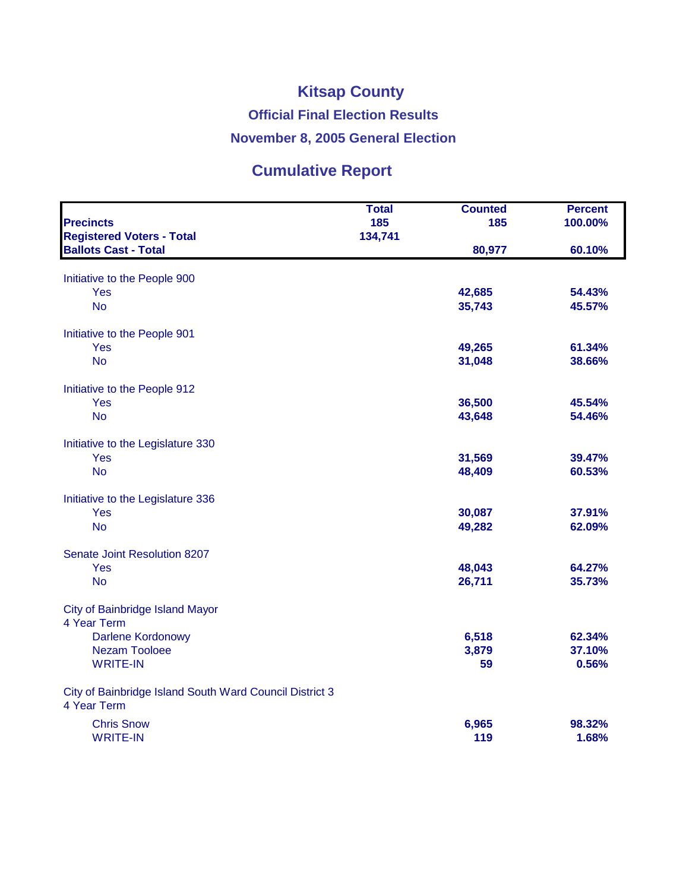## **Kitsap County Official Final Election Results November 8, 2005 General Election**

## **Cumulative Report**

|                                                                        | <b>Total</b> | <b>Counted</b> | <b>Percent</b> |
|------------------------------------------------------------------------|--------------|----------------|----------------|
| <b>Precincts</b>                                                       | 185          | 185            | 100.00%        |
| <b>Registered Voters - Total</b><br><b>Ballots Cast - Total</b>        | 134,741      |                | 60.10%         |
|                                                                        |              | 80,977         |                |
| Initiative to the People 900                                           |              |                |                |
| Yes                                                                    |              | 42,685         | 54.43%         |
| <b>No</b>                                                              |              | 35,743         | 45.57%         |
| Initiative to the People 901                                           |              |                |                |
| Yes                                                                    |              | 49,265         | 61.34%         |
| <b>No</b>                                                              |              | 31,048         | 38.66%         |
| Initiative to the People 912                                           |              |                |                |
| Yes                                                                    |              | 36,500         | 45.54%         |
| <b>No</b>                                                              |              | 43,648         | 54.46%         |
| Initiative to the Legislature 330                                      |              |                |                |
| Yes                                                                    |              | 31,569         | 39.47%         |
| <b>No</b>                                                              |              | 48,409         | 60.53%         |
| Initiative to the Legislature 336                                      |              |                |                |
| Yes                                                                    |              | 30,087         | 37.91%         |
| <b>No</b>                                                              |              | 49,282         | 62.09%         |
| Senate Joint Resolution 8207                                           |              |                |                |
| Yes                                                                    |              | 48,043         | 64.27%         |
| <b>No</b>                                                              |              | 26,711         | 35.73%         |
| <b>City of Bainbridge Island Mayor</b>                                 |              |                |                |
| 4 Year Term                                                            |              |                |                |
| Darlene Kordonowy                                                      |              | 6,518          | 62.34%         |
| <b>Nezam Tooloee</b>                                                   |              | 3,879          | 37.10%         |
| <b>WRITE-IN</b>                                                        |              | 59             | 0.56%          |
| City of Bainbridge Island South Ward Council District 3<br>4 Year Term |              |                |                |
| <b>Chris Snow</b>                                                      |              | 6,965          | 98.32%         |
| <b>WRITE-IN</b>                                                        |              | 119            | 1.68%          |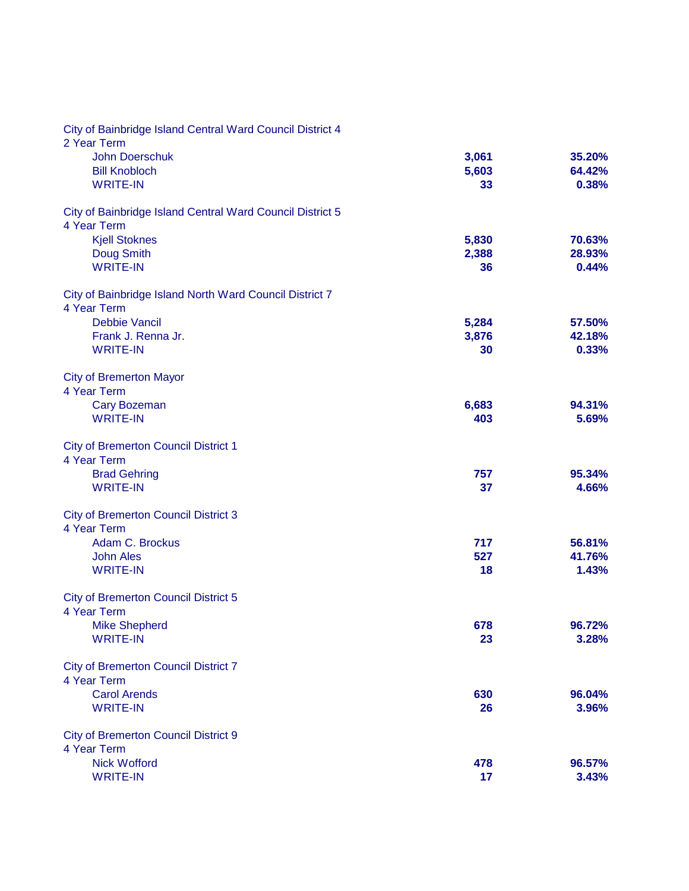| City of Bainbridge Island Central Ward Council District 4<br>2 Year Term |       |        |
|--------------------------------------------------------------------------|-------|--------|
| <b>John Doerschuk</b>                                                    | 3,061 | 35.20% |
| <b>Bill Knobloch</b>                                                     | 5,603 | 64.42% |
| <b>WRITE-IN</b>                                                          | 33    | 0.38%  |
| City of Bainbridge Island Central Ward Council District 5<br>4 Year Term |       |        |
| <b>Kjell Stoknes</b>                                                     | 5,830 | 70.63% |
| Doug Smith                                                               | 2,388 | 28.93% |
| <b>WRITE-IN</b>                                                          | 36    | 0.44%  |
| City of Bainbridge Island North Ward Council District 7<br>4 Year Term   |       |        |
| <b>Debbie Vancil</b>                                                     | 5,284 | 57.50% |
| Frank J. Renna Jr.                                                       | 3,876 | 42.18% |
| <b>WRITE-IN</b>                                                          | 30    | 0.33%  |
| <b>City of Bremerton Mayor</b><br>4 Year Term                            |       |        |
| <b>Cary Bozeman</b>                                                      | 6,683 | 94.31% |
| <b>WRITE-IN</b>                                                          | 403   | 5.69%  |
| <b>City of Bremerton Council District 1</b><br>4 Year Term               |       |        |
| <b>Brad Gehring</b>                                                      | 757   | 95.34% |
| <b>WRITE-IN</b>                                                          | 37    | 4.66%  |
| <b>City of Bremerton Council District 3</b><br>4 Year Term               |       |        |
| Adam C. Brockus                                                          | 717   | 56.81% |
| <b>John Ales</b>                                                         | 527   | 41.76% |
| <b>WRITE-IN</b>                                                          | 18    | 1.43%  |
| <b>City of Bremerton Council District 5</b><br>4 Year Term               |       |        |
| <b>Mike Shepherd</b>                                                     | 678   | 96.72% |
| <b>WRITE-IN</b>                                                          | 23    | 3.28%  |
| <b>City of Bremerton Council District 7</b><br>4 Year Term               |       |        |
| <b>Carol Arends</b>                                                      | 630   | 96.04% |
| <b>WRITE-IN</b>                                                          | 26    | 3.96%  |
| <b>City of Bremerton Council District 9</b><br>4 Year Term               |       |        |
| <b>Nick Wofford</b>                                                      | 478   | 96.57% |
| <b>WRITE-IN</b>                                                          | 17    | 3.43%  |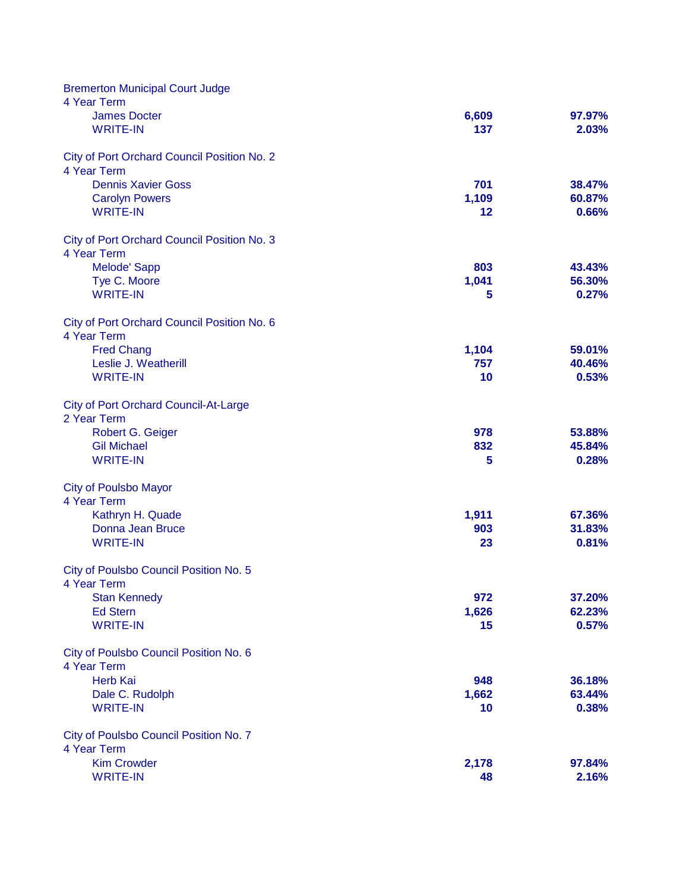| <b>Bremerton Municipal Court Judge</b>       |              |                  |
|----------------------------------------------|--------------|------------------|
| 4 Year Term                                  |              |                  |
| <b>James Docter</b>                          | 6,609        | 97.97%           |
| <b>WRITE-IN</b>                              | 137          | 2.03%            |
| City of Port Orchard Council Position No. 2  |              |                  |
| 4 Year Term                                  |              |                  |
| <b>Dennis Xavier Goss</b>                    | 701          | 38.47%           |
| <b>Carolyn Powers</b>                        | 1,109        | 60.87%           |
| <b>WRITE-IN</b>                              | 12           | 0.66%            |
| City of Port Orchard Council Position No. 3  |              |                  |
| 4 Year Term                                  |              |                  |
| Melode' Sapp                                 | 803          | 43.43%           |
| Tye C. Moore                                 | 1,041        | 56.30%           |
| <b>WRITE-IN</b>                              | 5            | 0.27%            |
| City of Port Orchard Council Position No. 6  |              |                  |
| 4 Year Term                                  |              |                  |
| <b>Fred Chang</b>                            | 1,104        | 59.01%           |
| Leslie J. Weatherill<br><b>WRITE-IN</b>      | 757<br>10    | 40.46%<br>0.53%  |
|                                              |              |                  |
| <b>City of Port Orchard Council-At-Large</b> |              |                  |
| 2 Year Term                                  |              |                  |
| Robert G. Geiger                             | 978          | 53.88%           |
| <b>Gil Michael</b>                           | 832          | 45.84%           |
| <b>WRITE-IN</b>                              | 5            | 0.28%            |
| <b>City of Poulsbo Mayor</b>                 |              |                  |
| 4 Year Term                                  |              |                  |
| Kathryn H. Quade                             | 1,911        | 67.36%           |
| Donna Jean Bruce                             | 903          | 31.83%           |
| <b>WRITE-IN</b>                              | 23           | 0.81%            |
| City of Poulsbo Council Position No. 5       |              |                  |
| 4 Year Term                                  |              |                  |
| <b>Stan Kennedy</b><br><b>Ed Stern</b>       | 972<br>1,626 | 37.20%<br>62.23% |
| <b>WRITE-IN</b>                              | 15           | 0.57%            |
|                                              |              |                  |
| City of Poulsbo Council Position No. 6       |              |                  |
| 4 Year Term                                  |              |                  |
| <b>Herb Kai</b>                              | 948          | 36.18%           |
| Dale C. Rudolph                              | 1,662        | 63.44%           |
| <b>WRITE-IN</b>                              | 10           | 0.38%            |
| City of Poulsbo Council Position No. 7       |              |                  |
| 4 Year Term                                  |              |                  |
| <b>Kim Crowder</b>                           | 2,178        | 97.84%           |
| <b>WRITE-IN</b>                              | 48           | 2.16%            |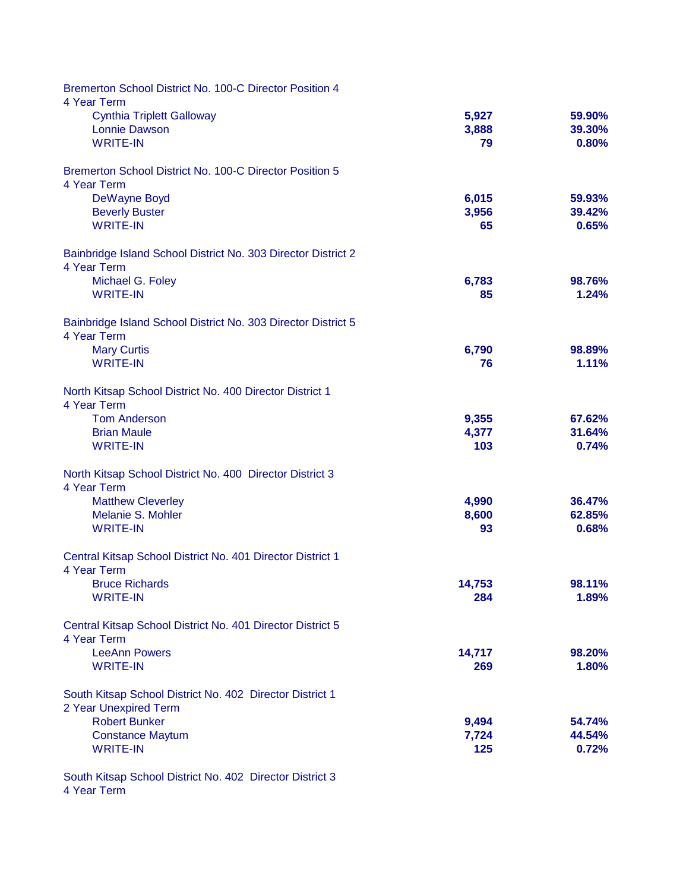| <b>Bremerton School District No. 100-C Director Position 4</b><br>4 Year Term     |                |                  |
|-----------------------------------------------------------------------------------|----------------|------------------|
| <b>Cynthia Triplett Galloway</b>                                                  | 5,927          | 59.90%           |
| <b>Lonnie Dawson</b>                                                              | 3,888          | 39.30%           |
| <b>WRITE-IN</b>                                                                   | 79             | 0.80%            |
| Bremerton School District No. 100-C Director Position 5                           |                |                  |
| 4 Year Term                                                                       |                |                  |
| DeWayne Boyd<br><b>Beverly Buster</b>                                             | 6,015<br>3,956 | 59.93%<br>39.42% |
| <b>WRITE-IN</b>                                                                   | 65             | 0.65%            |
| Bainbridge Island School District No. 303 Director District 2<br>4 Year Term      |                |                  |
| Michael G. Foley                                                                  | 6,783          | 98.76%           |
| <b>WRITE-IN</b>                                                                   | 85             | 1.24%            |
| Bainbridge Island School District No. 303 Director District 5<br>4 Year Term      |                |                  |
| <b>Mary Curtis</b>                                                                | 6,790          | 98.89%           |
| <b>WRITE-IN</b>                                                                   | 76             | 1.11%            |
| North Kitsap School District No. 400 Director District 1<br>4 Year Term           |                |                  |
| <b>Tom Anderson</b>                                                               | 9,355          | 67.62%           |
| <b>Brian Maule</b>                                                                | 4,377          | 31.64%           |
| <b>WRITE-IN</b>                                                                   | 103            | 0.74%            |
| North Kitsap School District No. 400 Director District 3<br>4 Year Term           |                |                  |
| <b>Matthew Cleverley</b>                                                          | 4,990          | 36.47%           |
| Melanie S. Mohler                                                                 | 8,600          | 62.85%           |
| <b>WRITE-IN</b>                                                                   | 93             | 0.68%            |
| Central Kitsap School District No. 401 Director District 1<br>4 Year Term         |                |                  |
| <b>Bruce Richards</b>                                                             | 14,753         | 98.11%           |
| <b>WRITE-IN</b>                                                                   | 284            | 1.89%            |
| Central Kitsap School District No. 401 Director District 5<br>4 Year Term         |                |                  |
| <b>LeeAnn Powers</b>                                                              | 14,717         | 98.20%           |
| <b>WRITE-IN</b>                                                                   | 269            | 1.80%            |
| South Kitsap School District No. 402 Director District 1<br>2 Year Unexpired Term |                |                  |
| <b>Robert Bunker</b>                                                              | 9,494          | 54.74%           |
| <b>Constance Maytum</b>                                                           | 7,724          | 44.54%           |
| <b>WRITE-IN</b>                                                                   | 125            | 0.72%            |
|                                                                                   |                |                  |

4 Year Term South Kitsap School District No. 402 Director District 3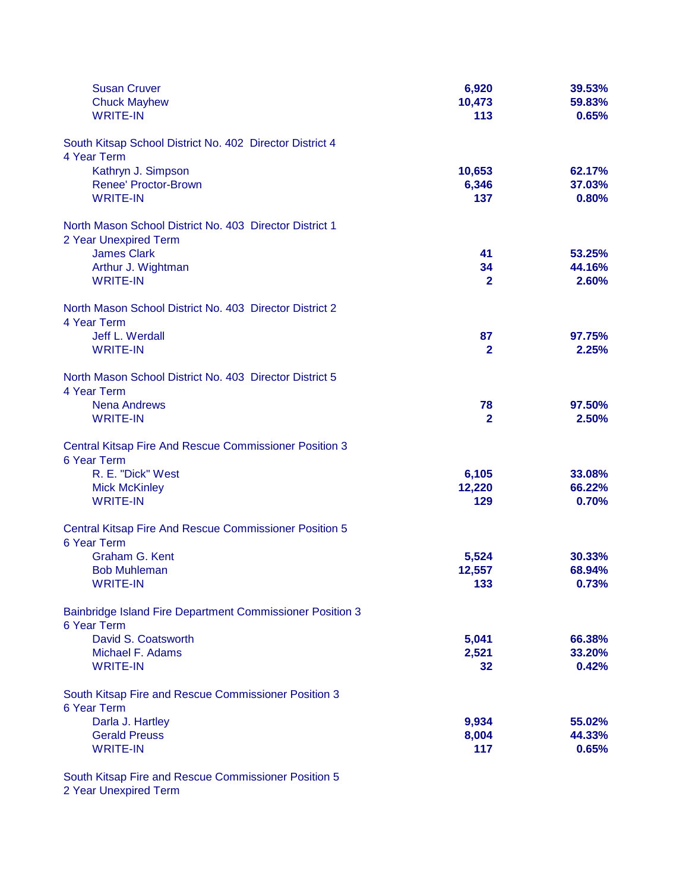| <b>Susan Cruver</b><br><b>Chuck Mayhew</b><br><b>WRITE-IN</b>                    | 6,920<br>10,473<br>113 | 39.53%<br>59.83%<br>0.65% |
|----------------------------------------------------------------------------------|------------------------|---------------------------|
| South Kitsap School District No. 402 Director District 4                         |                        |                           |
| 4 Year Term<br>Kathryn J. Simpson                                                | 10,653                 | 62.17%                    |
| <b>Renee' Proctor-Brown</b>                                                      | 6,346                  | 37.03%                    |
| <b>WRITE-IN</b>                                                                  | 137                    | 0.80%                     |
| North Mason School District No. 403 Director District 1<br>2 Year Unexpired Term |                        |                           |
| <b>James Clark</b>                                                               | 41                     | 53.25%                    |
| Arthur J. Wightman                                                               | 34                     | 44.16%                    |
| <b>WRITE-IN</b>                                                                  | $\mathbf{2}$           | 2.60%                     |
| North Mason School District No. 403 Director District 2<br>4 Year Term           |                        |                           |
| Jeff L. Werdall                                                                  | 87                     | 97.75%                    |
| <b>WRITE-IN</b>                                                                  | $\mathbf{2}$           | 2.25%                     |
| North Mason School District No. 403 Director District 5<br>4 Year Term           |                        |                           |
| <b>Nena Andrews</b>                                                              | 78                     | 97.50%                    |
| <b>WRITE-IN</b>                                                                  | $\overline{2}$         | 2.50%                     |
| Central Kitsap Fire And Rescue Commissioner Position 3<br>6 Year Term            |                        |                           |
| R. E. "Dick" West                                                                | 6,105                  | 33.08%                    |
| <b>Mick McKinley</b>                                                             | 12,220                 | 66.22%                    |
| <b>WRITE-IN</b>                                                                  | 129                    | 0.70%                     |
| <b>Central Kitsap Fire And Rescue Commissioner Position 5</b><br>6 Year Term     |                        |                           |
| Graham G. Kent                                                                   | 5,524                  | 30.33%                    |
| <b>Bob Muhleman</b>                                                              | 12,557                 | 68.94%                    |
| WRITE-IN                                                                         | 133                    | 0.73%                     |
| Bainbridge Island Fire Department Commissioner Position 3<br>6 Year Term         |                        |                           |
| David S. Coatsworth                                                              | 5,041                  | 66.38%                    |
| Michael F. Adams                                                                 | 2,521                  | 33.20%                    |
| <b>WRITE-IN</b>                                                                  | 32 <sub>2</sub>        | 0.42%                     |
| South Kitsap Fire and Rescue Commissioner Position 3<br>6 Year Term              |                        |                           |
| Darla J. Hartley                                                                 | 9,934                  | 55.02%                    |
| <b>Gerald Preuss</b>                                                             | 8,004                  | 44.33%                    |
| <b>WRITE-IN</b>                                                                  | 117                    | 0.65%                     |
|                                                                                  |                        |                           |

South Kitsap Fire and Rescue Commissioner Position 5 2 Year Unexpired Term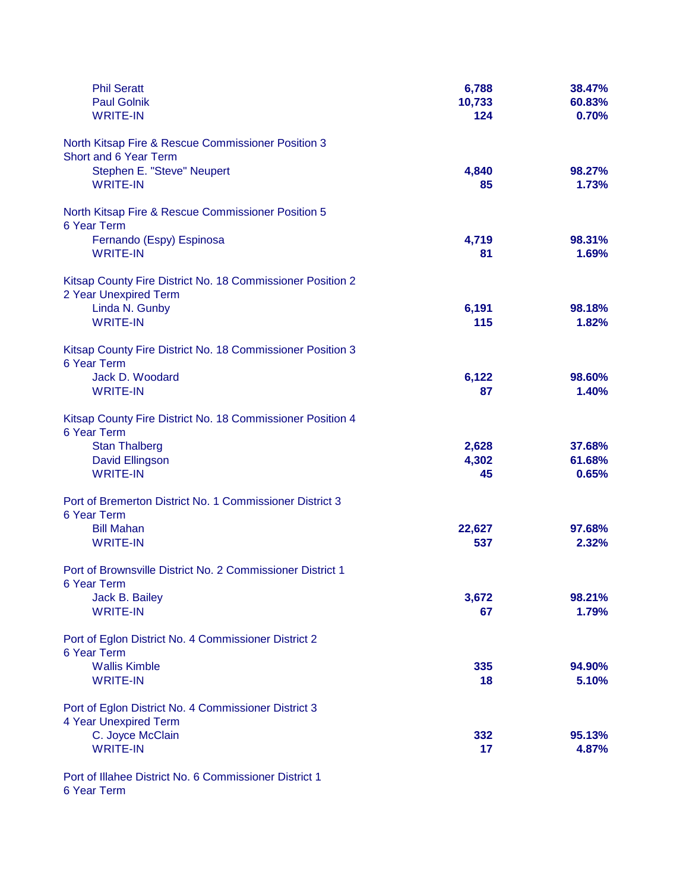| <b>Phil Seratt</b><br><b>Paul Golnik</b>                                            | 6,788<br>10,733 | 38.47%<br>60.83% |
|-------------------------------------------------------------------------------------|-----------------|------------------|
| <b>WRITE-IN</b>                                                                     | 124             | 0.70%            |
| North Kitsap Fire & Rescue Commissioner Position 3<br>Short and 6 Year Term         |                 |                  |
| Stephen E. "Steve" Neupert                                                          | 4,840           | 98.27%           |
| <b>WRITE-IN</b>                                                                     | 85              | 1.73%            |
| North Kitsap Fire & Rescue Commissioner Position 5<br>6 Year Term                   |                 |                  |
| Fernando (Espy) Espinosa                                                            | 4,719           | 98.31%           |
| <b>WRITE-IN</b>                                                                     | 81              | 1.69%            |
| Kitsap County Fire District No. 18 Commissioner Position 2<br>2 Year Unexpired Term |                 |                  |
| Linda N. Gunby                                                                      | 6,191           | 98.18%           |
| <b>WRITE-IN</b>                                                                     | 115             | 1.82%            |
| Kitsap County Fire District No. 18 Commissioner Position 3<br>6 Year Term           |                 |                  |
| Jack D. Woodard                                                                     | 6,122           | 98.60%           |
| <b>WRITE-IN</b>                                                                     | 87              | 1.40%            |
| Kitsap County Fire District No. 18 Commissioner Position 4<br>6 Year Term           |                 |                  |
| <b>Stan Thalberg</b>                                                                | 2,628           | 37.68%           |
| David Ellingson                                                                     | 4,302           | 61.68%           |
| <b>WRITE-IN</b>                                                                     | 45              | 0.65%            |
| Port of Bremerton District No. 1 Commissioner District 3<br>6 Year Term             |                 |                  |
| <b>Bill Mahan</b>                                                                   | 22,627          | 97.68%           |
| <b>WRITE-IN</b>                                                                     | 537             | 2.32%            |
| Port of Brownsville District No. 2 Commissioner District 1<br>6 Year Term           |                 |                  |
| Jack B. Bailey                                                                      | 3,672           | 98.21%           |
| <b>WRITE-IN</b>                                                                     | 67              | 1.79%            |
| Port of Eglon District No. 4 Commissioner District 2<br>6 Year Term                 |                 |                  |
| <b>Wallis Kimble</b>                                                                | 335             | 94.90%           |
| <b>WRITE-IN</b>                                                                     | 18              | 5.10%            |
| Port of Eglon District No. 4 Commissioner District 3<br>4 Year Unexpired Term       |                 |                  |
| C. Joyce McClain                                                                    | 332             | 95.13%           |
| <b>WRITE-IN</b>                                                                     | 17              | 4.87%            |
| Port of Illahee District No. 6 Commissioner District 1                              |                 |                  |

6 Year Term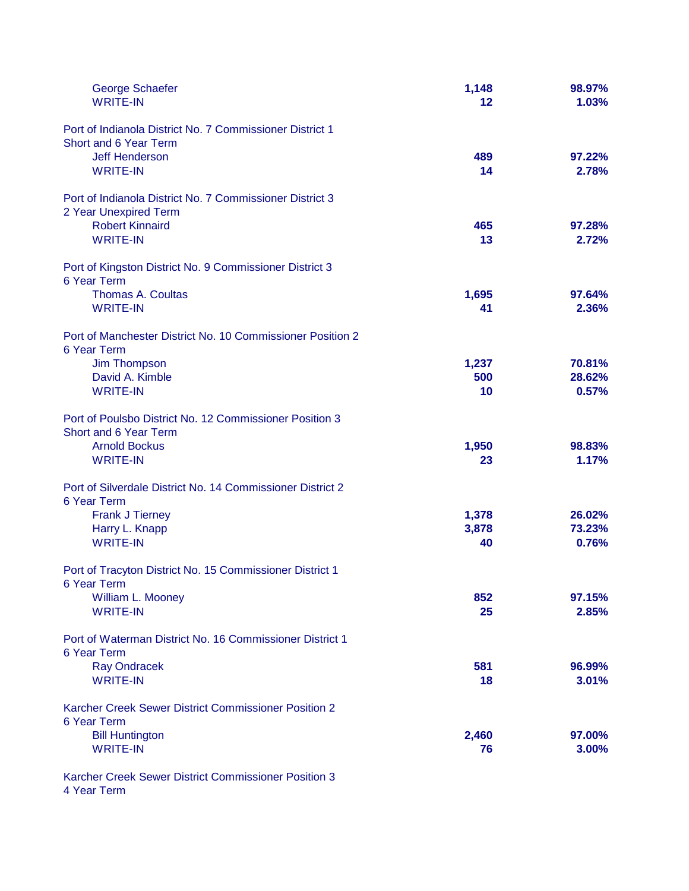| George Schaefer<br><b>WRITE-IN</b>                                                | 1,148<br>12 | 98.97%<br>1.03% |
|-----------------------------------------------------------------------------------|-------------|-----------------|
| Port of Indianola District No. 7 Commissioner District 1<br>Short and 6 Year Term |             |                 |
| <b>Jeff Henderson</b>                                                             | 489         | 97.22%          |
| <b>WRITE-IN</b>                                                                   | 14          | 2.78%           |
| Port of Indianola District No. 7 Commissioner District 3                          |             |                 |
| 2 Year Unexpired Term                                                             |             |                 |
| <b>Robert Kinnaird</b><br><b>WRITE-IN</b>                                         | 465<br>13   | 97.28%<br>2.72% |
| Port of Kingston District No. 9 Commissioner District 3                           |             |                 |
| 6 Year Term                                                                       |             |                 |
| <b>Thomas A. Coultas</b><br><b>WRITE-IN</b>                                       | 1,695<br>41 | 97.64%<br>2.36% |
| Port of Manchester District No. 10 Commissioner Position 2                        |             |                 |
| 6 Year Term                                                                       |             |                 |
| <b>Jim Thompson</b>                                                               | 1,237       | 70.81%          |
| David A. Kimble<br><b>WRITE-IN</b>                                                | 500         | 28.62%<br>0.57% |
|                                                                                   | 10          |                 |
| Port of Poulsbo District No. 12 Commissioner Position 3<br>Short and 6 Year Term  |             |                 |
| <b>Arnold Bockus</b>                                                              | 1,950       | 98.83%          |
| <b>WRITE-IN</b>                                                                   | 23          | 1.17%           |
|                                                                                   |             |                 |
| Port of Silverdale District No. 14 Commissioner District 2                        |             |                 |
| 6 Year Term                                                                       |             |                 |
| <b>Frank J Tierney</b>                                                            | 1,378       | 26.02%          |
| Harry L. Knapp<br><b>WRITE-IN</b>                                                 | 3,878<br>40 | 73.23%<br>0.76% |
|                                                                                   |             |                 |
| Port of Tracyton District No. 15 Commissioner District 1<br>6 Year Term           |             |                 |
| William L. Mooney                                                                 | 852         | 97.15%          |
| <b>WRITE-IN</b>                                                                   | 25          | 2.85%           |
| Port of Waterman District No. 16 Commissioner District 1                          |             |                 |
| 6 Year Term                                                                       |             |                 |
| <b>Ray Ondracek</b>                                                               | 581         | 96.99%          |
| <b>WRITE-IN</b>                                                                   | 18          | 3.01%           |
| Karcher Creek Sewer District Commissioner Position 2                              |             |                 |
| 6 Year Term                                                                       |             |                 |
| <b>Bill Huntington</b><br><b>WRITE-IN</b>                                         | 2,460<br>76 | 97.00%<br>3.00% |
| Karcher Creek Sewer District Commissioner Position 3                              |             |                 |

4 Year Term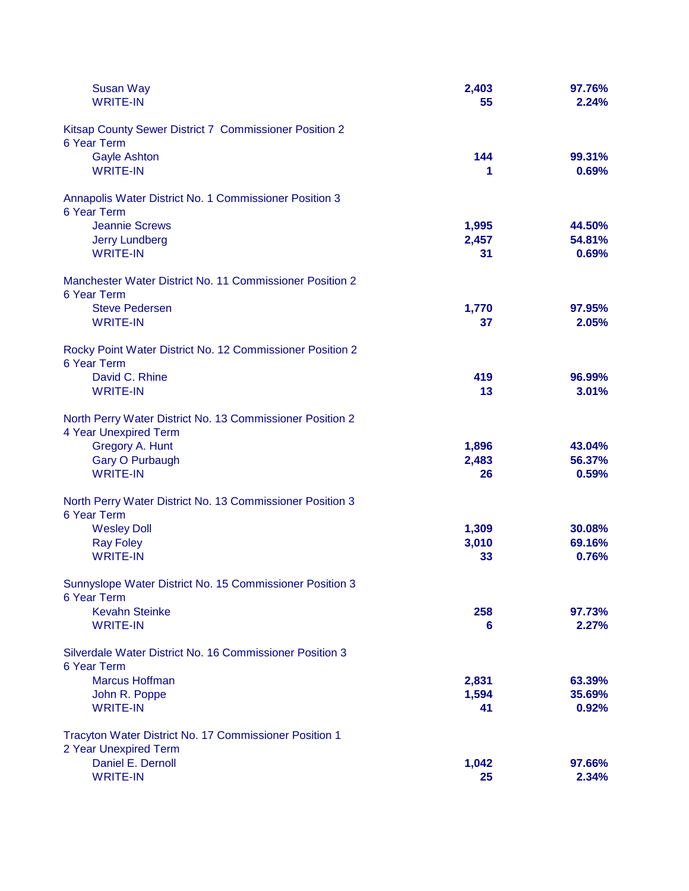| <b>Susan Way</b>                                                                   | 2,403 | 97.76% |
|------------------------------------------------------------------------------------|-------|--------|
| <b>WRITE-IN</b>                                                                    | 55    | 2.24%  |
| Kitsap County Sewer District 7 Commissioner Position 2<br>6 Year Term              |       |        |
| <b>Gayle Ashton</b>                                                                | 144   | 99.31% |
| <b>WRITE-IN</b>                                                                    | 1     | 0.69%  |
| Annapolis Water District No. 1 Commissioner Position 3<br>6 Year Term              |       |        |
| <b>Jeannie Screws</b>                                                              | 1,995 | 44.50% |
| <b>Jerry Lundberg</b>                                                              | 2,457 | 54.81% |
| <b>WRITE-IN</b>                                                                    | 31    | 0.69%  |
| Manchester Water District No. 11 Commissioner Position 2<br>6 Year Term            |       |        |
| <b>Steve Pedersen</b>                                                              | 1,770 | 97.95% |
| <b>WRITE-IN</b>                                                                    | 37    | 2.05%  |
| Rocky Point Water District No. 12 Commissioner Position 2<br>6 Year Term           |       |        |
| David C. Rhine                                                                     | 419   | 96.99% |
| <b>WRITE-IN</b>                                                                    | 13    | 3.01%  |
| North Perry Water District No. 13 Commissioner Position 2<br>4 Year Unexpired Term |       |        |
| Gregory A. Hunt                                                                    | 1,896 | 43.04% |
| <b>Gary O Purbaugh</b>                                                             | 2,483 | 56.37% |
| <b>WRITE-IN</b>                                                                    | 26    | 0.59%  |
| North Perry Water District No. 13 Commissioner Position 3<br>6 Year Term           |       |        |
| <b>Wesley Doll</b>                                                                 | 1,309 | 30.08% |
| <b>Ray Foley</b>                                                                   | 3,010 | 69.16% |
| <b>WRITE-IN</b>                                                                    | 33    | 0.76%  |
| Sunnyslope Water District No. 15 Commissioner Position 3<br>6 Year Term            |       |        |
| <b>Kevahn Steinke</b>                                                              | 258   | 97.73% |
| <b>WRITE-IN</b>                                                                    | 6     | 2.27%  |
| Silverdale Water District No. 16 Commissioner Position 3<br>6 Year Term            |       |        |
| <b>Marcus Hoffman</b>                                                              | 2,831 | 63.39% |
| John R. Poppe                                                                      | 1,594 | 35.69% |
| <b>WRITE-IN</b>                                                                    | 41    | 0.92%  |
| Tracyton Water District No. 17 Commissioner Position 1<br>2 Year Unexpired Term    |       |        |
| Daniel E. Dernoll                                                                  | 1,042 | 97.66% |
| <b>WRITE-IN</b>                                                                    | 25    | 2.34%  |